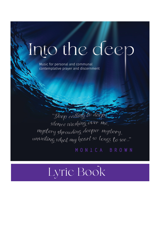# Into the deep

Music for personal and communal contemplative prayer and discernment

"Deep calling to deep silence washing over me, mystery shrouding deeper mystery, unveiling what my heart so longs to see..."

MONICA BROWN

## Lyric Book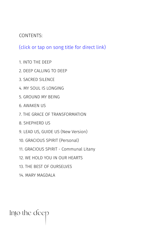#### <span id="page-1-0"></span>CONTENTS:

(click or tap on song title for direct link)

- [1. INTO THE DEEP](#page-2-0)
- [2. DEEP CALLING TO DEEP](#page-3-0)
- [3. SACRED SILENCE](#page-4-0)
- [4. MY SOUL IS LONGING](#page-5-0)
- [5. GROUND MY BEING](#page-6-0)
- [6. AWAKEN US](#page-7-0)
- [7. THE GRACE OF TRANSFORMATION](#page-8-0)
- [8. SHEPHERD US](#page-9-0)
- [9. LEAD US, GUIDE US \(New Version\)](#page-10-0)
- [10. GRACIOUS SPIRIT \(Personal\)](#page-11-0)
- [11. GRACIOUS SPIRIT Communal Litany](#page-12-0)
- [12. WE HOLD YOU IN OUR HEARTS](#page-13-0)
- [13. THE BEST OF OURSELVES](#page-14-0)
- [14. MARY MAGDALA](#page-15-0)

Into the deep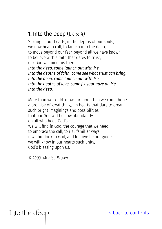#### <span id="page-2-0"></span>1. Into the Deep (Lk 5: 4)

Stirring in our hearts, in the depths of our souls, we now hear a call, to launch into the deep, to move beyond our fear, beyond all we have known, to believe with a faith that dares to trust, our God will meet us there. *Into the deep, come launch out with Me, Into the depths of faith, come see what trust can bring. Into the deep, come launch out with Me, Into the depths of love, come fix your gaze on Me, Into the deep.*

More than we could know, far more than we could hope, a promise of great things, in hearts that dare to dream, such bright imaginings and possibilities, that our God will bestow abundantly, on all who heed God's call. We will find in God, the courage that we need, to embrace the call, to risk familiar ways, if we but look to God, and let love be our guide, we will know in our hearts such unity, God's blessing upon us.

*© 2003 Monica Brown* 

Into the deep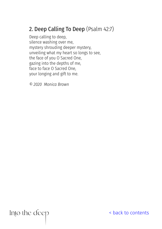### <span id="page-3-0"></span>2. Deep Calling To Deep (Psalm 42:7)

Deep calling to deep, silence washing over me, mystery shrouding deeper mystery, unveiling what my heart so longs to see, the face of you O Sacred One, gazing into the depths of me, face to face O Sacred One, your longing and gift to me.

*© 2020 Monica Brown*

Into the deep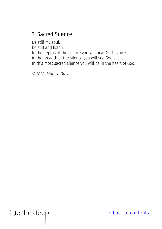#### <span id="page-4-0"></span>3. Sacred Silence

Be still my soul, be still and listen. In the depths of the silence you will hear God's voice, in the breadth of the silence you will see God's face. In this most sacred silence you will be in the heart of God.

*© 2020 Monica Brown*

Into the deep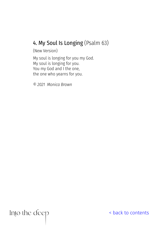#### <span id="page-5-0"></span>4. My Soul Is Longing (Psalm 63)

(New Version)

My soul is longing for you my God. My soul is longing for you. You my God and I the one, the one who yearns for you.

*© 2021 Monica Brown*

Into the deep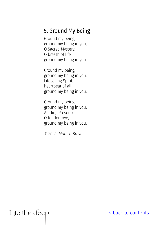#### <span id="page-6-0"></span>5. Ground My Being

Ground my being, ground my being in you, O Sacred Mystery, O breath of life, ground my being in you.

Ground my being, ground my being in you, Life giving Spirit, heartbeat of all, ground my being in you.

Ground my being, ground my being in you, Abiding Presence O tender love, ground my being in you.

*© 2020 Monica Brown*

Into the deep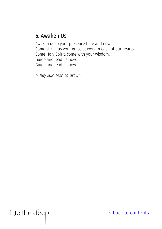#### <span id="page-7-0"></span>6. Awaken Us

Awaken us to your presence here and now. Come stir in us your grace at work in each of our hearts. Come Holy Spirit, come with your wisdom. Guide and lead us now. Guide and lead us now.

*© July 2021 Monica Brown*

Into the deep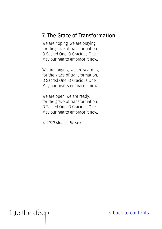#### <span id="page-8-0"></span>7. The Grace of Transformation

We are hoping, we are praying, for the grace of transformation. O Sacred One, O Gracious One, May our hearts embrace it now.

We are longing, we are yearning, for the grace of transformation. O Sacred One, O Gracious One, May our hearts embrace it now.

We are open, we are ready, for the grace of transformation. O Sacred One, O Gracious One, May our hearts embrace it now.

*© 2020 Monica Brown*

Into the deep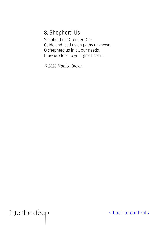#### <span id="page-9-0"></span>8. Shepherd Us

Shepherd us O Tender One, Guide and lead us on paths unknown. O shepherd us in all our needs, Draw us close to your great heart.

*© 2020 Monica Brown*

Into the deep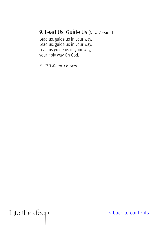#### <span id="page-10-0"></span>9. Lead Us, Guide Us (New Version)

Lead us, guide us in your way. Lead us, guide us in your way. Lead us guide us in your way, your holy way Oh God.

*© 2021 Monica Brown*

Into the deep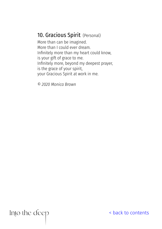#### <span id="page-11-0"></span>10. Gracious Spirit (Personal)

More than can be imagined. More than I could ever dream. Infinitely more than my heart could know, is your gift of grace to me. Infinitely more, beyond my deepest prayer, is the grace of your spirit, your Gracious Spirit at work in me.

*© 2020 Monica Brown*

Into the deep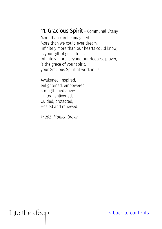#### <span id="page-12-0"></span>11. Gracious Spirit - Communal Litany

More than can be imagined. More than we could ever dream. Infinitely more than our hearts could know, is your gift of grace to us. Infinitely more, beyond our deepest prayer, is the grace of your spirit, your Gracious Spirit at work in us.

Awakened, inspired, enlightened, empowered, strengthened anew. United, enlivened, Guided, protected, Healed and renewed.

*© 2021 Monica Brown*

Into the deep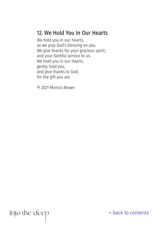#### <span id="page-13-0"></span>12. We Hold You In Our Hearts

We hold you in our hearts, as we pray God's blessing on you. We give thanks for your gracious spirit, and your faithful service to us. We hold you in our hearts, gently hold you, and give thanks to God, for the gift you are.

*© 2021 Monica Brown*

Into the deep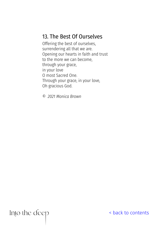#### <span id="page-14-0"></span>13. The Best Of Ourselves

Offering the best of ourselves, surrendering all that we are. Opening our hearts in faith and trust to the more we can become, through your grace, in your love O most Sacred One. Through your grace, in your love, Oh gracious God.

*© 2021 Monica Brown*

Into the deep